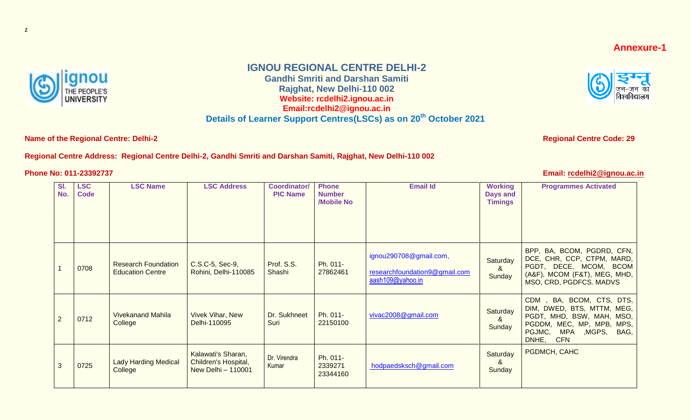

## **IGNOU REGIONAL CENTRE DELHI-2**

**Gandhi Smriti and Darshan Samiti Rajghat, New Delhi-110 002 Website: rcdelhi2.ignou.ac.in Email:rcdelhi2@ignou.ac.in Details of Learner Support Centres(LSCs) as on 20th October 2021**

**Name of the Regional Centre: Delhi-2 Regional Centre Code: 29 Regional Centre Code: 29** 

## **Regional Centre Address: Regional Centre Delhi-2, Gandhi Smriti and Darshan Samiti, Rajghat, New Delhi-110 002**

**Phone No: 011-23392737** 

| Email: rcdelhi2@ignou.ac.in |  |
|-----------------------------|--|
|                             |  |

| SI.<br>No. | <b>LSC</b><br><b>Code</b> | <b>LSC Name</b>                                       | <b>LSC Address</b>                                               | <b>Coordinator/</b><br><b>PIC Name</b> | <b>Phone</b><br><b>Number</b><br>/Mobile No | <b>Email Id</b>                                                             | <b>Working</b><br>Days and<br><b>Timings</b> | <b>Programmes Activated</b>                                                                                                                                        |
|------------|---------------------------|-------------------------------------------------------|------------------------------------------------------------------|----------------------------------------|---------------------------------------------|-----------------------------------------------------------------------------|----------------------------------------------|--------------------------------------------------------------------------------------------------------------------------------------------------------------------|
|            | 0708                      | <b>Research Foundation</b><br><b>Education Centre</b> | C.S.C-5, Sec-9,<br>Rohini, Delhi-110085                          | Prof. S.S.<br>Shashi                   | Ph. 011-<br>27862461                        | ignou290708@gmail.com,<br>researchfoundation9@gmail.com<br>aash109@yahoo.in | Saturday<br>&<br>Sunday                      | BPP, BA, BCOM, PGDRD, CFN,<br>DCE, CHR, CCP, CTPM, MARD,<br>PGDT, DECE, MCOM, BCOM<br>(A&F), MCOM (F&T), MEG, MHD,<br>MSO, CRD, PGDFCS. MADVS                      |
| 2          | 0712                      | <b>Vivekanand Mahila</b><br>College                   | <b>Vivek Vihar, New</b><br>Delhi-110095                          | Dr. Sukhneet<br>Suri                   | Ph. 011-<br>22150100                        | vivac2008@gmail.com                                                         | Saturday<br>&<br>Sunday                      | CDM, BA, BCOM, CTS, DTS,<br>DIM, DWED, BTS, MTTM, MEG,<br>PGDT, MHD, BSW, MAH, MSO,<br>PGDDM, MEC, MP, MPB, MPS,<br>PGJMC, MPA , MGPS, BAG,<br>DNHE,<br><b>CFN</b> |
| 3          | 0725                      | <b>Lady Harding Medical</b><br>College                | Kalawati's Sharan,<br>Children's Hospital,<br>New Delhi - 110001 | Dr. Virendra<br>Kumar                  | Ph. 011-<br>2339271<br>23344160             | hodpaedsksch@gmail.com                                                      | Saturday<br>&<br>Sunday                      | PGDMCH, CAHC                                                                                                                                                       |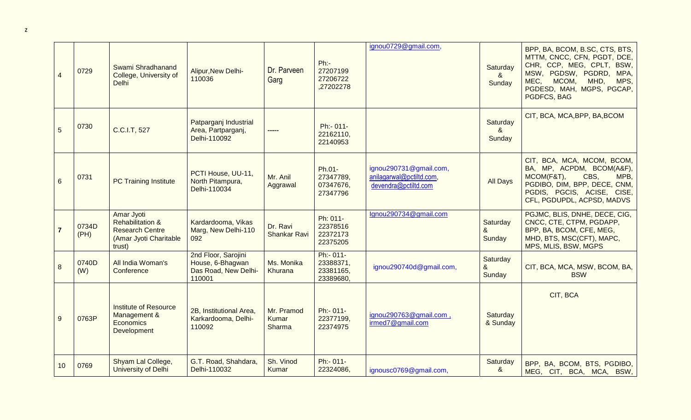| $\overline{4}$  | 0729          | Swami Shradhanand<br>College, University of<br><b>Delhi</b>                                             | Alipur, New Delhi-<br>110036                                              | Dr. Parveen<br>Garg             | Ph:<br>27207199<br>27206722<br>,27202278         | ignou0729@gmail.com,                                                       | Saturday<br>8 <sub>1</sub><br>Sunday | BPP, BA, BCOM, B.SC, CTS, BTS,<br>MTTM, CNCC, CFN, PGDT, DCE,<br>CHR, CCP, MEG, CPLT, BSW,<br>MSW, PGDSW, PGDRD, MPA,<br>MEC,<br>MCOM,<br>MHD,<br>MPS,<br>PGDESD, MAH, MGPS, PGCAP,<br>PGDFCS, BAG |
|-----------------|---------------|---------------------------------------------------------------------------------------------------------|---------------------------------------------------------------------------|---------------------------------|--------------------------------------------------|----------------------------------------------------------------------------|--------------------------------------|----------------------------------------------------------------------------------------------------------------------------------------------------------------------------------------------------|
| 5               | 0730          | C.C.I.T, 527                                                                                            | Patparganj Industrial<br>Area, Partparganj,<br>Delhi-110092               | $- - - - -$                     | Ph:- 011-<br>22162110,<br>22140953               |                                                                            | Saturday<br>&<br>Sunday              | CIT, BCA, MCA, BPP, BA, BCOM                                                                                                                                                                       |
| $6\phantom{1}6$ | 0731          | <b>PC Training Institute</b>                                                                            | PCTI House, UU-11,<br>North Pitampura,<br>Delhi-110034                    | Mr. Anil<br>Aggrawal            | Ph.01-<br>27347789,<br>07347676,<br>27347796     | ignou290731@gmail.com,<br>anilagarwal@pctiltd.com,<br>devendra@pctiltd.com | <b>All Days</b>                      | CIT, BCA, MCA, MCOM, BCOM,<br>BA, MP, ACPDM, BCOM(A&F),<br>MCOM(F&T),<br>CBS,<br>MPB,<br>PGDIBO, DIM, BPP, DECE, CNM,<br>PGDIS, PGCIS, ACISE, CISE,<br>CFL, PGDUPDL, ACPSD, MADVS                  |
| $\overline{7}$  | 0734D<br>(PH) | Amar Jyoti<br><b>Rehabilitation &amp;</b><br><b>Research Centre</b><br>(Amar Jyoti Charitable<br>trust) | Kardardooma, Vikas<br>Marg, New Delhi-110<br>092                          | Dr. Ravi<br><b>Shankar Ravi</b> | Ph: 011-<br>22378516<br>22372173<br>22375205     | Ignou290734@gmail.com                                                      | Saturday<br>&<br>Sunday              | PGJMC, BLIS, DNHE, DECE, CIG,<br>CNCC, CTE, CTPM, PGDAPP,<br>BPP, BA, BCOM, CFE, MEG,<br>MHD, BTS, MSC(CFT), MAPC,<br>MPS, MLIS, BSW, MGPS                                                         |
| 8               | 0740D<br>(W)  | All India Woman's<br>Conference                                                                         | 2nd Floor, Sarojini<br>House, 6-Bhagwan<br>Das Road, New Delhi-<br>110001 | Ms. Monika<br>Khurana           | Ph:- 011-<br>23388371,<br>23381165,<br>23389680, | ignou290740d@gmail.com,                                                    | Saturday<br>&<br>Sunday              | CIT, BCA, MCA, MSW, BCOM, BA,<br><b>BSW</b>                                                                                                                                                        |
| 9               | 0763P         | <b>Institute of Resource</b><br>Management &<br><b>Economics</b><br><b>Development</b>                  | 2B, Institutional Area,<br>Karkardooma, Delhi-<br>110092                  | Mr. Pramod<br>Kumar<br>Sharma   | Ph:- 011-<br>22377199,<br>22374975               | ignou290763@gmail.com,<br>irmed7@gmail.com                                 | Saturday<br>& Sunday                 | CIT, BCA                                                                                                                                                                                           |
| 10              | 0769          | Shyam Lal College,<br>University of Delhi                                                               | G.T. Road, Shahdara,<br>Delhi-110032                                      | Sh. Vinod<br>Kumar              | Ph:- 011-<br>22324086,                           | ignousc0769@gmail.com,                                                     | Saturday<br>&                        | BPP, BA, BCOM, BTS, PGDIBO,<br>MEG, CIT, BCA, MCA, BSW,                                                                                                                                            |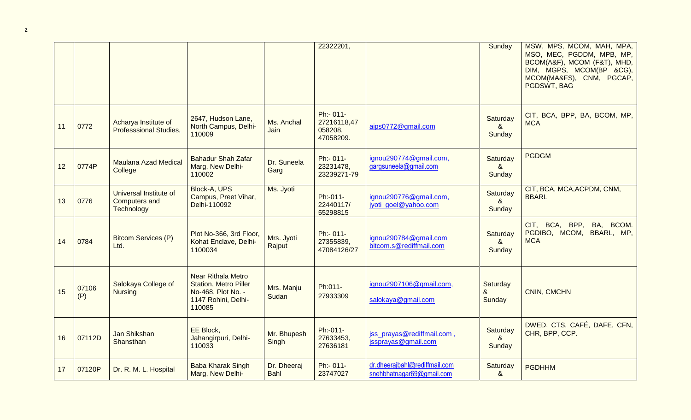|    |              |                                                              |                                                                                                                  |                            | 22322201,                                        |                                                            | Sunday                               | MSW, MPS, MCOM, MAH, MPA,<br>MSO, MEC, PGDDM, MPB, MP,<br>BCOM(A&F), MCOM (F&T), MHD,<br>DIM, MGPS, MCOM(BP &CG),<br>MCOM(MA&FS), CNM, PGCAP,<br>PGDSWT, BAG |
|----|--------------|--------------------------------------------------------------|------------------------------------------------------------------------------------------------------------------|----------------------------|--------------------------------------------------|------------------------------------------------------------|--------------------------------------|--------------------------------------------------------------------------------------------------------------------------------------------------------------|
| 11 | 0772         | Acharya Institute of<br><b>Professsional Studies,</b>        | 2647, Hudson Lane,<br>North Campus, Delhi-<br>110009                                                             | Ms. Anchal<br>Jain         | Ph:- 011-<br>27216118,47<br>058208,<br>47058209. | aips0772@gmail.com                                         | Saturday<br>$\alpha$<br>Sunday       | CIT, BCA, BPP, BA, BCOM, MP,<br><b>MCA</b>                                                                                                                   |
| 12 | 0774P        | <b>Maulana Azad Medical</b><br>College                       | <b>Bahadur Shah Zafar</b><br>Marg, New Delhi-<br>110002                                                          | Dr. Suneela<br>Garg        | Ph:- 011-<br>23231478,<br>23239271-79            | ignou290774@gmail.com,<br>gargsuneela@gmail.com            | Saturday<br>&<br>Sunday              | <b>PGDGM</b>                                                                                                                                                 |
| 13 | 0776         | Universal Institute of<br><b>Computers and</b><br>Technology | Block-A, UPS<br>Campus, Preet Vihar,<br>Delhi-110092                                                             | Ms. Jyoti                  | Ph:-011-<br>22440117/<br>55298815                | ignou290776@gmail.com,<br>jyoti goel@yahoo.com             | Saturday<br>&<br>Sunday              | CIT, BCA, MCA, ACPDM, CNM,<br><b>BBARL</b>                                                                                                                   |
| 14 | 0784         | <b>Bitcom Services (P)</b><br>Ltd.                           | Plot No-366, 3rd Floor,<br>Kohat Enclave, Delhi-<br>1100034                                                      | Mrs. Jyoti<br>Rajput       | Ph:- 011-<br>27355839,<br>47084126/27            | ignou290784@gmail.com<br>bitcom.s@rediffmail.com           | Saturday<br>&<br>Sunday              | CIT, BCA, BPP, BA, BCOM.<br>PGDIBO, MCOM, BBARL, MP,<br><b>MCA</b>                                                                                           |
| 15 | 07106<br>(P) | Salokaya College of<br><b>Nursing</b>                        | <b>Near Rithala Metro</b><br><b>Station, Metro Piller</b><br>No-468, Plot No. -<br>1147 Rohini, Delhi-<br>110085 | Mrs. Manju<br>Sudan        | Ph:011-<br>27933309                              | ignou2907106@gmail.com,<br>salokaya@gmail.com              | Saturday<br>8 <sub>x</sub><br>Sunday | <b>CNIN, CMCHN</b>                                                                                                                                           |
| 16 | 07112D       | Jan Shikshan<br>Shansthan                                    | EE Block,<br>Jahangirpuri, Delhi-<br>110033                                                                      | Mr. Bhupesh<br>Singh       | Ph:-011-<br>27633453,<br>27636181                | jss_prayas@rediffmail.com,<br>jssprayas@gmail.com          | Saturday<br>$\alpha$<br>Sunday       | DWED, CTS, CAFÉ, DAFE, CFN,<br>CHR, BPP, CCP.                                                                                                                |
| 17 | 07120P       | Dr. R. M. L. Hospital                                        | <b>Baba Kharak Singh</b><br>Marg, New Delhi-                                                                     | Dr. Dheeraj<br><b>Bahl</b> | Ph:- 011-<br>23747027                            | dr.dheerajbahl@rediffmail.com<br>snehbhatnagar69@gmail.com | Saturday<br>&                        | <b>PGDHHM</b>                                                                                                                                                |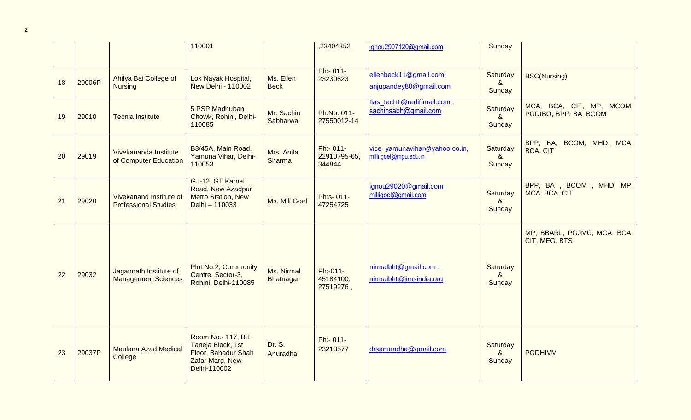|    |        |                                                        | 110001                                                                                             |                          | ,23404352                           | ignou2907120@gmail.com                                 | Sunday                         |                                                   |
|----|--------|--------------------------------------------------------|----------------------------------------------------------------------------------------------------|--------------------------|-------------------------------------|--------------------------------------------------------|--------------------------------|---------------------------------------------------|
| 18 | 29006P | Ahilya Bai College of<br><b>Nursing</b>                | Lok Nayak Hospital,<br><b>New Delhi - 110002</b>                                                   | Ms. Ellen<br><b>Beck</b> | Ph:- 011-<br>23230823               | ellenbeck11@gmail.com;<br>anjupandey80@gmail.com       | Saturday<br>$\alpha$<br>Sunday | <b>BSC(Nursing)</b>                               |
| 19 | 29010  | <b>Tecnia Institute</b>                                | 5 PSP Madhuban<br>Chowk, Rohini, Delhi-<br>110085                                                  | Mr. Sachin<br>Sabharwal  | Ph.No. 011-<br>27550012-14          | tias_tech1@rediffmail.com,<br>sachinsabh@gmail.com     | Saturday<br>$\alpha$<br>Sunday | MCA, BCA, CIT, MP, MCOM,<br>PGDIBO, BPP, BA, BCOM |
| 20 | 29019  | Vivekananda Institute<br>of Computer Education         | B3/45A, Main Road,<br>Yamuna Vihar, Delhi-<br>110053                                               | Mrs. Anita<br>Sharma     | Ph:- 011-<br>22910795-65,<br>344844 | vice_yamunavihar@yahoo.co.in,<br>milli.goel@mgu.edu.in | Saturday<br>&<br>Sunday        | BPP, BA, BCOM, MHD, MCA,<br><b>BCA, CIT</b>       |
| 21 | 29020  | Vivekanand Institute of<br><b>Professional Studies</b> | G.I-12, GT Karnal<br>Road, New Azadpur<br>Metro Station, New<br>Delhi - 110033                     | Ms. Mili Goel            | Ph:s- 011-<br>47254725              | ignou29020@gmail.com<br>milligoel@gmail.com            | Saturday<br>&<br>Sunday        | BPP, BA, BCOM, MHD, MP,<br>MCA, BCA, CIT          |
| 22 | 29032  | Jagannath Institute of<br><b>Management Sciences</b>   | Plot No.2, Community<br>Centre, Sector-3,<br>Rohini, Delhi-110085                                  | Ms. Nirmal<br>Bhatnagar  | Ph:-011-<br>45184100,<br>27519276,  | nirmalbht@gmail.com,<br>nirmalbht@jimsindia.org        | Saturday<br>$\alpha$<br>Sunday | MP, BBARL, PGJMC, MCA, BCA,<br>CIT, MEG, BTS      |
| 23 | 29037P | <b>Maulana Azad Medical</b><br>College                 | Room No.- 117, B.L.<br>Taneja Block, 1st<br>Floor, Bahadur Shah<br>Zafar Marg, New<br>Delhi-110002 | Dr. S.<br>Anuradha       | Ph:- 011-<br>23213577               | drsanuradha@gmail.com                                  | Saturday<br>$\alpha$<br>Sunday | <b>PGDHIVM</b>                                    |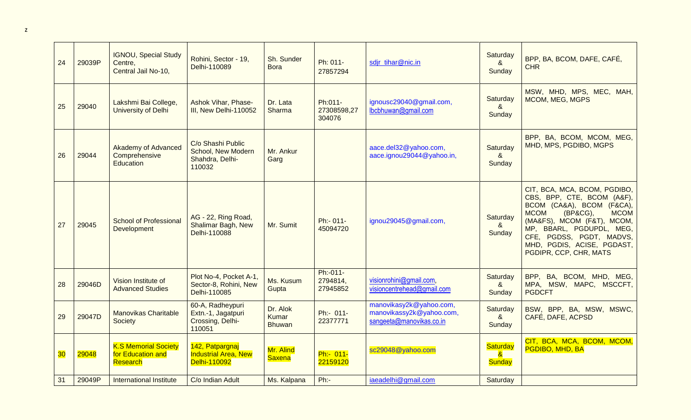| 24 | 29039P | <b>IGNOU, Special Study</b><br>Centre,<br>Central Jail No-10,   | Rohini, Sector - 19,<br>Delhi-110089                                 | Sh. Sunder<br><b>Bora</b>          | Ph: 011-<br>27857294             | sdjr_tihar@nic.in                                                               | Saturday<br>8 <sub>1</sub><br>Sunday             | BPP, BA, BCOM, DAFE, CAFÉ,<br><b>CHR</b>                                                                                                                                                                                                                                        |
|----|--------|-----------------------------------------------------------------|----------------------------------------------------------------------|------------------------------------|----------------------------------|---------------------------------------------------------------------------------|--------------------------------------------------|---------------------------------------------------------------------------------------------------------------------------------------------------------------------------------------------------------------------------------------------------------------------------------|
| 25 | 29040  | Lakshmi Bai College,<br>University of Delhi                     | Ashok Vihar, Phase-<br>III, New Delhi-110052                         | Dr. Lata<br>Sharma                 | Ph:011-<br>27308598,27<br>304076 | ignousc29040@gmail.com,<br>lbcbhuwan@gmail.com                                  | Saturday<br>8 <sub>1</sub><br>Sunday             | MSW, MHD, MPS, MEC, MAH,<br>MCOM, MEG, MGPS                                                                                                                                                                                                                                     |
| 26 | 29044  | <b>Akademy of Advanced</b><br>Comprehensive<br><b>Education</b> | C/o Shashi Public<br>School, New Modern<br>Shahdra, Delhi-<br>110032 | Mr. Ankur<br>Garg                  |                                  | aace.del32@yahoo.com,<br>aace.ignou29044@yahoo.in,                              | Saturday<br>8 <sub>o</sub><br>Sunday             | BPP, BA, BCOM, MCOM, MEG,<br>MHD, MPS, PGDIBO, MGPS                                                                                                                                                                                                                             |
| 27 | 29045  | <b>School of Professional</b><br>Development                    | AG - 22, Ring Road,<br><b>Shalimar Bagh, New</b><br>Delhi-110088     | Mr. Sumit                          | Ph:- 011-<br>45094720            | ignou29045@gmail.com,                                                           | Saturday<br>8 <sub>o</sub><br>Sunday             | CIT, BCA, MCA, BCOM, PGDIBO,<br>CBS, BPP, CTE, BCOM (A&F),<br>BCOM (CA&A), BCOM (F&CA),<br><b>MCOM</b><br>(BP&CG),<br><b>MCOM</b><br>(MA&FS), MCOM (F&T), MCOM,<br>MP, BBARL, PGDUPDL, MEG,<br>CFE, PGDSS, PGDT, MADVS,<br>MHD, PGDIS, ACISE, PGDAST,<br>PGDIPR, CCP, CHR, MATS |
| 28 | 29046D | Vision Institute of<br><b>Advanced Studies</b>                  | Plot No-4, Pocket A-1,<br>Sector-8, Rohini, New<br>Delhi-110085      | Ms. Kusum<br>Gupta                 | Ph:-011-<br>2794814,<br>27945852 | visionrohini@gmail.com,<br>visioncentrehead@gmail.com                           | Saturday<br>8 <sub>o</sub><br>Sunday             | BPP, BA, BCOM, MHD, MEG,<br>MPA, MSW, MAPC, MSCCFT,<br><b>PGDCFT</b>                                                                                                                                                                                                            |
| 29 | 29047D | <b>Manovikas Charitable</b><br>Society                          | 60-A, Radheypuri<br>Extn.-1, Jagatpuri<br>Crossing, Delhi-<br>110051 | Dr. Alok<br>Kumar<br><b>Bhuwan</b> | Ph:- 011-<br>22377771            | manovikasy2k@yahoo.com,<br>manovikassy2k@yahoo.com,<br>sangeeta@manovikas.co.in | Saturday<br>$\boldsymbol{\alpha}$<br>Sunday      | BSW, BPP, BA, MSW, MSWC,<br>CAFÉ, DAFE, ACPSD                                                                                                                                                                                                                                   |
| 30 | 29048  | <b>K.S Memorial Society</b><br>for Education and<br>Research    | 142, Patpargnaj<br><b>Industrial Area, New</b><br>Delhi-110092       | Mr. Alind<br>Saxena                | Ph:- 011-<br>22159120            | sc29048@yahoo.com                                                               | <b>Saturday</b><br>$\mathbf{a}$<br><b>Sunday</b> | CIT, BCA, MCA, BCOM, MCOM,<br>PGDIBO, MHD, BA                                                                                                                                                                                                                                   |
| 31 | 29049P | International Institute                                         | C/o Indian Adult                                                     | Ms. Kalpana                        | $Ph:$ -                          | iaeadelhi@gmail.com                                                             | Saturday                                         |                                                                                                                                                                                                                                                                                 |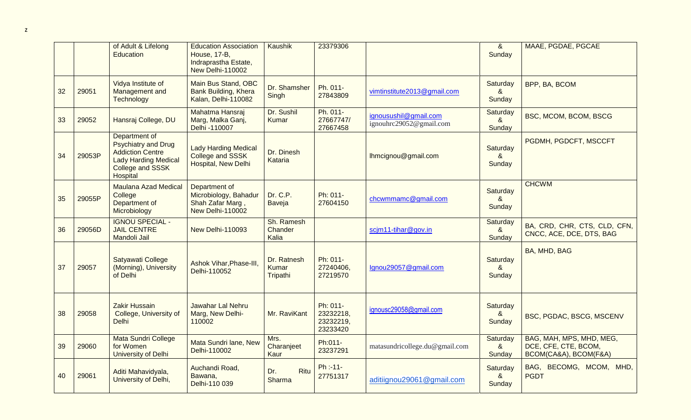|    |        | of Adult & Lifelong<br>Education                                                                                                      | <b>Education Association</b><br><b>House, 17-B,</b><br>Indraprastha Estate,<br>New Delhi-110002 | Kaushik                          | 23379306                                       |                                                  | 8 <sub>o</sub><br>Sunday                    | MAAE, PGDAE, PGCAE                                                        |
|----|--------|---------------------------------------------------------------------------------------------------------------------------------------|-------------------------------------------------------------------------------------------------|----------------------------------|------------------------------------------------|--------------------------------------------------|---------------------------------------------|---------------------------------------------------------------------------|
| 32 | 29051  | Vidya Institute of<br>Management and<br><b>Technology</b>                                                                             | Main Bus Stand, OBC<br>Bank Building, Khera<br>Kalan, Delhi-110082                              | Dr. Shamsher<br>Singh            | Ph. 011-<br>27843809                           | vimtinstitute2013@gmail.com                      | Saturday<br>$\boldsymbol{\alpha}$<br>Sunday | BPP, BA, BCOM                                                             |
| 33 | 29052  | Hansraj College, DU                                                                                                                   | Mahatma Hansraj<br>Marg, Malka Ganj,<br>Delhi -110007                                           | Dr. Sushil<br>Kumar              | Ph. 011-<br>27667747/<br>27667458              | ignousushil@gmail.com<br>ignouhrc29052@gmail.com | Saturday<br>8 <sub>1</sub><br>Sunday        | BSC, MCOM, BCOM, BSCG                                                     |
| 34 | 29053P | Department of<br><b>Psychiatry and Drug</b><br><b>Addiction Centre</b><br><b>Lady Harding Medical</b><br>College and SSSK<br>Hospital | <b>Lady Harding Medical</b><br>College and SSSK<br><b>Hospital, New Delhi</b>                   | Dr. Dinesh<br>Kataria            |                                                | Ihmcignou@gmail.com                              | Saturday<br>&<br>Sunday                     | PGDMH, PGDCFT, MSCCFT                                                     |
| 35 | 29055P | <b>Maulana Azad Medical</b><br>College<br>Department of<br>Microbiology                                                               | Department of<br>Microbiology, Bahadur<br>Shah Zafar Marg,<br>New Delhi-110002                  | Dr. C.P.<br>Baveja               | Ph: 011-<br>27604150                           | chcwmmamc@gmail.com                              | Saturday<br>$\boldsymbol{\alpha}$<br>Sunday | <b>CHCWM</b>                                                              |
| 36 | 29056D | <b>IGNOU SPECIAL -</b><br><b>JAIL CENTRE</b><br>Mandoli Jail                                                                          | New Delhi-110093                                                                                | Sh. Ramesh<br>Chander<br>Kalia   |                                                | scim11-tihar@gov.in                              | Saturday<br>8 <sub>1</sub><br>Sunday        | BA, CRD, CHR, CTS, CLD, CFN,<br>CNCC, ACE, DCE, DTS, BAG                  |
| 37 | 29057  | Satyawati College<br>(Morning), University<br>of Delhi                                                                                | Ashok Vihar, Phase-III,<br>Delhi-110052                                                         | Dr. Ratnesh<br>Kumar<br>Tripathi | Ph: 011-<br>27240406,<br>27219570              | Ignou29057@gmail.com                             | Saturday<br>$\alpha$<br>Sunday              | BA, MHD, BAG                                                              |
| 38 | 29058  | <b>Zakir Hussain</b><br>College, University of<br><b>Delhi</b>                                                                        | Jawahar Lal Nehru<br>Marg, New Delhi-<br>110002                                                 | Mr. RaviKant                     | Ph: 011-<br>23232218,<br>23232219,<br>23233420 | ignousc29058@gmail.com                           | Saturday<br>&<br>Sunday                     | BSC, PGDAC, BSCG, MSCENV                                                  |
| 39 | 29060  | Mata Sundri College<br>for Women<br>University of Delhi                                                                               | Mata Sundri lane, New<br>Delhi-110002                                                           | Mrs.<br>Charanjeet<br>Kaur       | Ph:011-<br>23237291                            | matasundricollege.du@gmail.com                   | Saturday<br>8 <sub>1</sub><br>Sunday        | BAG, MAH, MPS, MHD, MEG,<br>DCE, CFE, CTE, BCOM,<br>BCOM(CA&A), BCOM(F&A) |
| 40 | 29061  | Aditi Mahavidyala,<br>University of Delhi,                                                                                            | Auchandi Road,<br>Bawana,<br>Delhi-110 039                                                      | Ritu<br>Dr.<br>Sharma            | Ph :-11-<br>27751317                           | aditiignou29061@gmail.com                        | Saturday<br>&<br>Sunday                     | BAG, BECOMG, MCOM, MHD,<br><b>PGDT</b>                                    |